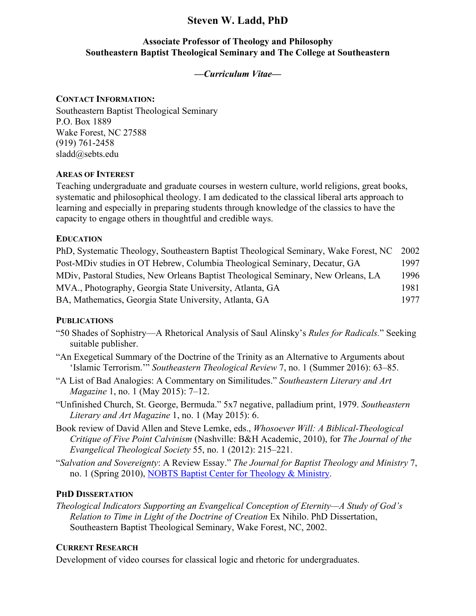# **Steven W. Ladd, PhD**

# **Associate Professor of Theology and Philosophy Southeastern Baptist Theological Seminary and The College at Southeastern**

## *—Curriculum Vitae—*

## **CONTACT INFORMATION:**

Southeastern Baptist Theological Seminary P.O. Box 1889 Wake Forest, NC 27588 (919) 761-2458 sladd@sebts.edu

### **AREAS OF INTEREST**

Teaching undergraduate and graduate courses in western culture, world religions, great books, systematic and philosophical theology. I am dedicated to the classical liberal arts approach to learning and especially in preparing students through knowledge of the classics to have the capacity to engage others in thoughtful and credible ways.

### **EDUCATION**

PhD, Systematic Theology, Southeastern Baptist Theological Seminary, Wake Forest, NC 2002 Post-MDiv studies in OT Hebrew, Columbia Theological Seminary, Decatur, GA 1997 MDiv, Pastoral Studies, New Orleans Baptist Theological Seminary, New Orleans, LA 1996 MVA., Photography, Georgia State University, Atlanta, GA 1981 BA, Mathematics, Georgia State University, Atlanta, GA 1977

## **PUBLICATIONS**

- "50 Shades of Sophistry—A Rhetorical Analysis of Saul Alinsky's *Rules for Radicals.*" Seeking suitable publisher.
- "An Exegetical Summary of the Doctrine of the Trinity as an Alternative to Arguments about 'Islamic Terrorism.'" *Southeastern Theological Review* 7, no. 1 (Summer 2016): 63–85.
- "A List of Bad Analogies: A Commentary on Similitudes." *Southeastern Literary and Art Magazine* 1, no. 1 (May 2015): 7–12.
- "Unfinished Church, St. George, Bermuda." 5x7 negative, palladium print, 1979. *Southeastern Literary and Art Magazine* 1, no. 1 (May 2015): 6.
- Book review of David Allen and Steve Lemke, eds., *Whosoever Will: A Biblical-Theological Critique of Five Point Calvinism* (Nashville: B&H Academic, 2010), for *The Journal of the Evangelical Theological Society* 55, no. 1 (2012): 215–221.

"*Salvation and Sovereignty*: A Review Essay." *The Journal for Baptist Theology and Ministry* 7, no. 1 (Spring 2010), NOBTS Baptist Center for Theology & Ministry.

## **PHD DISSERTATION**

*Theological Indicators Supporting an Evangelical Conception of Eternity—A Study of God's Relation to Time in Light of the Doctrine of Creation* Ex Nihilo. PhD Dissertation, Southeastern Baptist Theological Seminary, Wake Forest, NC, 2002.

## **CURRENT RESEARCH**

Development of video courses for classical logic and rhetoric for undergraduates.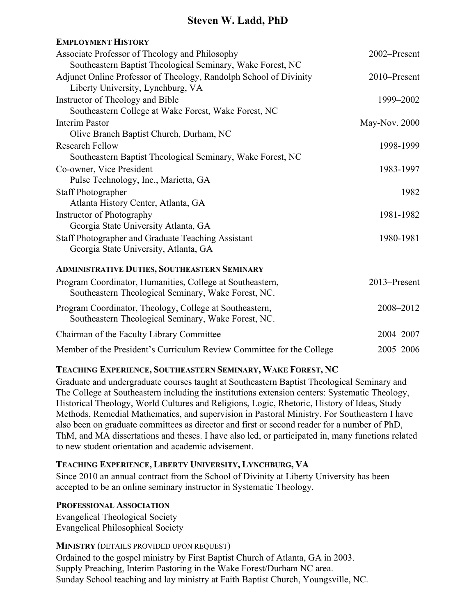# **Steven W. Ladd, PhD**

| <b>EMPLOYMENT HISTORY</b>                                             |               |
|-----------------------------------------------------------------------|---------------|
| Associate Professor of Theology and Philosophy                        | 2002-Present  |
| Southeastern Baptist Theological Seminary, Wake Forest, NC            |               |
| Adjunct Online Professor of Theology, Randolph School of Divinity     | 2010–Present  |
| Liberty University, Lynchburg, VA                                     |               |
| Instructor of Theology and Bible                                      | 1999-2002     |
| Southeastern College at Wake Forest, Wake Forest, NC                  |               |
| <b>Interim Pastor</b>                                                 | May-Nov. 2000 |
| Olive Branch Baptist Church, Durham, NC                               |               |
| <b>Research Fellow</b>                                                | 1998-1999     |
| Southeastern Baptist Theological Seminary, Wake Forest, NC            |               |
| Co-owner, Vice President                                              | 1983-1997     |
| Pulse Technology, Inc., Marietta, GA                                  |               |
| <b>Staff Photographer</b>                                             | 1982          |
| Atlanta History Center, Atlanta, GA                                   |               |
| Instructor of Photography                                             | 1981-1982     |
| Georgia State University Atlanta, GA                                  |               |
| Staff Photographer and Graduate Teaching Assistant                    | 1980-1981     |
| Georgia State University, Atlanta, GA                                 |               |
| <b>ADMINISTRATIVE DUTIES, SOUTHEASTERN SEMINARY</b>                   |               |
| Program Coordinator, Humanities, College at Southeastern,             | 2013-Present  |
| Southeastern Theological Seminary, Wake Forest, NC.                   |               |
| Program Coordinator, Theology, College at Southeastern,               | 2008-2012     |
| Southeastern Theological Seminary, Wake Forest, NC.                   |               |
| Chairman of the Faculty Library Committee                             | 2004-2007     |
| Member of the President's Curriculum Review Committee for the College | 2005-2006     |

#### **TEACHING EXPERIENCE, SOUTHEASTERN SEMINARY, WAKE FOREST, NC**

Graduate and undergraduate courses taught at Southeastern Baptist Theological Seminary and The College at Southeastern including the institutions extension centers: Systematic Theology, Historical Theology, World Cultures and Religions, Logic, Rhetoric, History of Ideas, Study Methods, Remedial Mathematics, and supervision in Pastoral Ministry. For Southeastern I have also been on graduate committees as director and first or second reader for a number of PhD, ThM, and MA dissertations and theses. I have also led, or participated in, many functions related to new student orientation and academic advisement.

## **TEACHING EXPERIENCE, LIBERTY UNIVERSITY, LYNCHBURG, VA**

Since 2010 an annual contract from the School of Divinity at Liberty University has been accepted to be an online seminary instructor in Systematic Theology.

#### **PROFESSIONAL ASSOCIATION**

Evangelical Theological Society Evangelical Philosophical Society

#### **MINISTRY** (DETAILS PROVIDED UPON REQUEST)

Ordained to the gospel ministry by First Baptist Church of Atlanta, GA in 2003. Supply Preaching, Interim Pastoring in the Wake Forest/Durham NC area. Sunday School teaching and lay ministry at Faith Baptist Church, Youngsville, NC.